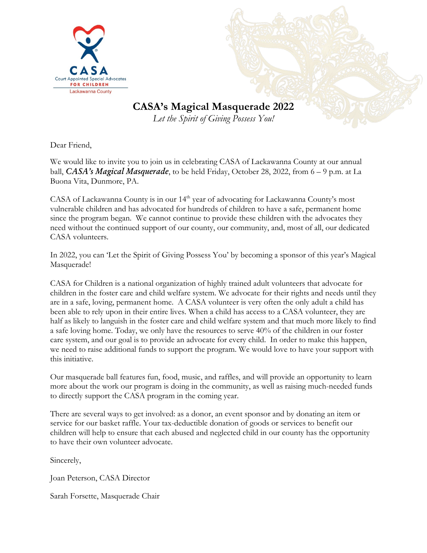

# **CASA's Magical Masquerade 2022**

*Let the Spirit of Giving Possess You!*

Dear Friend,

We would like to invite you to join us in celebrating CASA of Lackawanna County at our annual ball, *CASA's Magical Masquerade*, to be held Friday, October 28, 2022, from 6 – 9 p.m. at La Buona Vita, Dunmore, PA.

CASA of Lackawanna County is in our 14<sup>th</sup> year of advocating for Lackawanna County's most vulnerable children and has advocated for hundreds of children to have a safe, permanent home since the program began. We cannot continue to provide these children with the advocates they need without the continued support of our county, our community, and, most of all, our dedicated CASA volunteers.

In 2022, you can 'Let the Spirit of Giving Possess You' by becoming a sponsor of this year's Magical Masquerade!

CASA for Children is a national organization of highly trained adult volunteers that advocate for children in the foster care and child welfare system. We advocate for their rights and needs until they are in a safe, loving, permanent home. A CASA volunteer is very often the only adult a child has been able to rely upon in their entire lives. When a child has access to a CASA volunteer, they are half as likely to languish in the foster care and child welfare system and that much more likely to find a safe loving home. Today, we only have the resources to serve 40% of the children in our foster care system, and our goal is to provide an advocate for every child. In order to make this happen, we need to raise additional funds to support the program. We would love to have your support with this initiative.

Our masquerade ball features fun, food, music, and raffles, and will provide an opportunity to learn more about the work our program is doing in the community, as well as raising much-needed funds to directly support the CASA program in the coming year.

There are several ways to get involved: as a donor, an event sponsor and by donating an item or service for our basket raffle. Your tax-deductible donation of goods or services to benefit our children will help to ensure that each abused and neglected child in our county has the opportunity to have their own volunteer advocate.

Sincerely,

Joan Peterson, CASA Director

Sarah Forsette, Masquerade Chair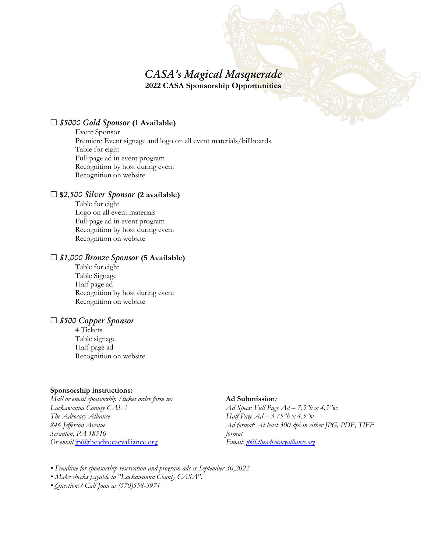### *CASA's Magical Masquerade* **2022 CASA Sponsorship Opportunities**

#### ☐ *\$5000 Gold Sponsor* **(1 Available)**

Event Sponsor Premiere Event signage and logo on all event materials/billboards Table for eight Full-page ad in event program Recognition by host during event Recognition on website

#### ☐ **\$***2,500 Silver Sponsor* **(2 available)**

Table for eight Logo on all event materials Full-page ad in event program Recognition by host during event Recognition on website

#### ☐ *\$1,000 Bronze Sponsor* **(5 Available)**

Table for eight Table Signage Half page ad Recognition by host during event Recognition on website

#### ☐ *\$500 Copper Sponsor*

4 Tickets Table signage Half-page ad Recognition on website

#### **Sponsorship instructions:**

*Mail or email sponsorship /ticket order form to: Lackawanna County CASA The Advocacy Alliance 846 Jefferson Avenue Scranton, PA 18510 Or email* [jp@theadvocacyalliance.org](mailto:jp@theadvocacyalliance.org)

#### **Ad Submission***:*

*Ad Specs: Full Page Ad – 7.5"h x 4.5"w; Half Page Ad – 3.75"h x 4.5"w Ad format: At least 300 dpi in either JPG, PDF, TIFF format Email: jp@theadvocacyalliance.org* 

- *Deadline for sponsorship reservation and program ads is September 30,2022*
- *Make checks payable to "Lackawanna County CASA".*
- *Questions? Call Joan at (570)558-3971*